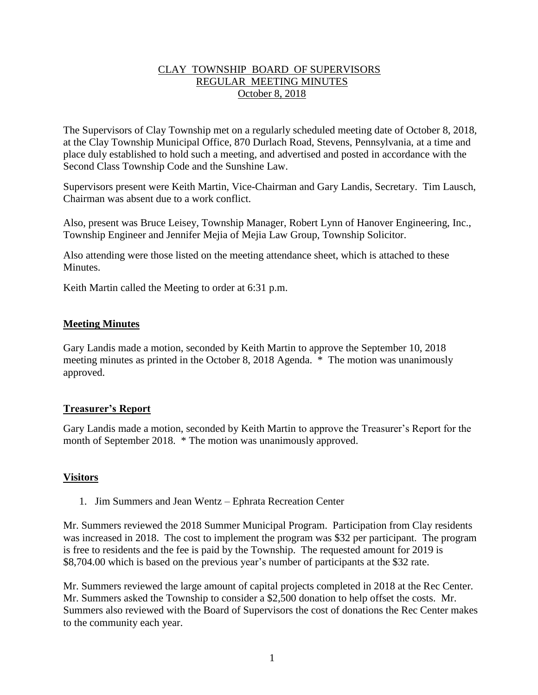### CLAY TOWNSHIP BOARD OF SUPERVISORS REGULAR MEETING MINUTES October 8, 2018

The Supervisors of Clay Township met on a regularly scheduled meeting date of October 8, 2018, at the Clay Township Municipal Office, 870 Durlach Road, Stevens, Pennsylvania, at a time and place duly established to hold such a meeting, and advertised and posted in accordance with the Second Class Township Code and the Sunshine Law.

Supervisors present were Keith Martin, Vice-Chairman and Gary Landis, Secretary. Tim Lausch, Chairman was absent due to a work conflict.

Also, present was Bruce Leisey, Township Manager, Robert Lynn of Hanover Engineering, Inc., Township Engineer and Jennifer Mejia of Mejia Law Group, Township Solicitor.

Also attending were those listed on the meeting attendance sheet, which is attached to these **Minutes** 

Keith Martin called the Meeting to order at 6:31 p.m.

# **Meeting Minutes**

Gary Landis made a motion, seconded by Keith Martin to approve the September 10, 2018 meeting minutes as printed in the October 8, 2018 Agenda. \* The motion was unanimously approved.

#### **Treasurer's Report**

Gary Landis made a motion, seconded by Keith Martin to approve the Treasurer's Report for the month of September 2018. \* The motion was unanimously approved.

# **Visitors**

1. Jim Summers and Jean Wentz – Ephrata Recreation Center

Mr. Summers reviewed the 2018 Summer Municipal Program. Participation from Clay residents was increased in 2018. The cost to implement the program was \$32 per participant. The program is free to residents and the fee is paid by the Township. The requested amount for 2019 is \$8,704.00 which is based on the previous year's number of participants at the \$32 rate.

Mr. Summers reviewed the large amount of capital projects completed in 2018 at the Rec Center. Mr. Summers asked the Township to consider a \$2,500 donation to help offset the costs. Mr. Summers also reviewed with the Board of Supervisors the cost of donations the Rec Center makes to the community each year.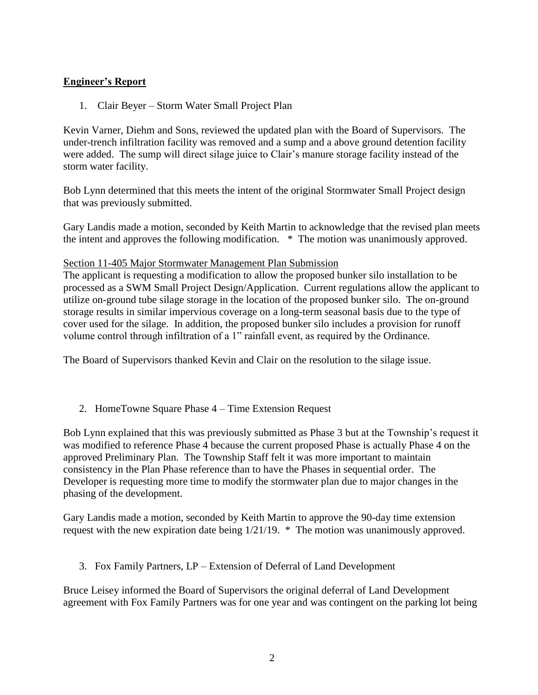# **Engineer's Report**

1. Clair Beyer – Storm Water Small Project Plan

Kevin Varner, Diehm and Sons, reviewed the updated plan with the Board of Supervisors. The under-trench infiltration facility was removed and a sump and a above ground detention facility were added. The sump will direct silage juice to Clair's manure storage facility instead of the storm water facility.

Bob Lynn determined that this meets the intent of the original Stormwater Small Project design that was previously submitted.

Gary Landis made a motion, seconded by Keith Martin to acknowledge that the revised plan meets the intent and approves the following modification. \* The motion was unanimously approved.

### Section 11-405 Major Stormwater Management Plan Submission

The applicant is requesting a modification to allow the proposed bunker silo installation to be processed as a SWM Small Project Design/Application. Current regulations allow the applicant to utilize on-ground tube silage storage in the location of the proposed bunker silo. The on-ground storage results in similar impervious coverage on a long-term seasonal basis due to the type of cover used for the silage. In addition, the proposed bunker silo includes a provision for runoff volume control through infiltration of a 1" rainfall event, as required by the Ordinance.

The Board of Supervisors thanked Kevin and Clair on the resolution to the silage issue.

2. HomeTowne Square Phase 4 – Time Extension Request

Bob Lynn explained that this was previously submitted as Phase 3 but at the Township's request it was modified to reference Phase 4 because the current proposed Phase is actually Phase 4 on the approved Preliminary Plan. The Township Staff felt it was more important to maintain consistency in the Plan Phase reference than to have the Phases in sequential order. The Developer is requesting more time to modify the stormwater plan due to major changes in the phasing of the development.

Gary Landis made a motion, seconded by Keith Martin to approve the 90-day time extension request with the new expiration date being 1/21/19. \* The motion was unanimously approved.

3. Fox Family Partners, LP – Extension of Deferral of Land Development

Bruce Leisey informed the Board of Supervisors the original deferral of Land Development agreement with Fox Family Partners was for one year and was contingent on the parking lot being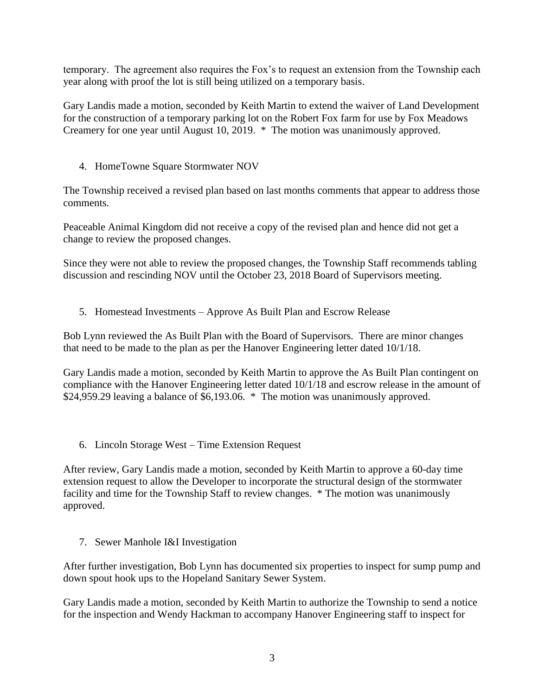temporary. The agreement also requires the Fox's to request an extension from the Township each year along with proof the lot is still being utilized on a temporary basis.

Gary Landis made a motion, seconded by Keith Martin to extend the waiver of Land Development for the construction of a temporary parking lot on the Robert Fox farm for use by Fox Meadows Creamery for one year until August 10, 2019. \* The motion was unanimously approved.

4. HomeTowne Square Stormwater NOV

The Township received a revised plan based on last months comments that appear to address those comments.

Peaceable Animal Kingdom did not receive a copy of the revised plan and hence did not get a change to review the proposed changes.

Since they were not able to review the proposed changes, the Township Staff recommends tabling discussion and rescinding NOV until the October 23, 2018 Board of Supervisors meeting.

5. Homestead Investments – Approve As Built Plan and Escrow Release

Bob Lynn reviewed the As Built Plan with the Board of Supervisors. There are minor changes that need to be made to the plan as per the Hanover Engineering letter dated 10/1/18.

Gary Landis made a motion, seconded by Keith Martin to approve the As Built Plan contingent on compliance with the Hanover Engineering letter dated 10/1/18 and escrow release in the amount of \$24,959.29 leaving a balance of \$6,193.06. \* The motion was unanimously approved.

6. Lincoln Storage West – Time Extension Request

After review, Gary Landis made a motion, seconded by Keith Martin to approve a 60-day time extension request to allow the Developer to incorporate the structural design of the stormwater facility and time for the Township Staff to review changes. \* The motion was unanimously approved.

7. Sewer Manhole I&I Investigation

After further investigation, Bob Lynn has documented six properties to inspect for sump pump and down spout hook ups to the Hopeland Sanitary Sewer System.

Gary Landis made a motion, seconded by Keith Martin to authorize the Township to send a notice for the inspection and Wendy Hackman to accompany Hanover Engineering staff to inspect for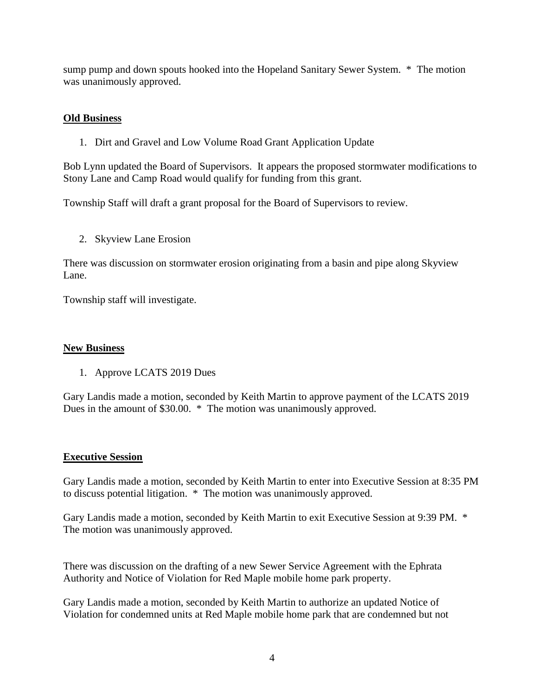sump pump and down spouts hooked into the Hopeland Sanitary Sewer System. \* The motion was unanimously approved.

### **Old Business**

1. Dirt and Gravel and Low Volume Road Grant Application Update

Bob Lynn updated the Board of Supervisors. It appears the proposed stormwater modifications to Stony Lane and Camp Road would qualify for funding from this grant.

Township Staff will draft a grant proposal for the Board of Supervisors to review.

2. Skyview Lane Erosion

There was discussion on stormwater erosion originating from a basin and pipe along Skyview Lane.

Township staff will investigate.

#### **New Business**

1. Approve LCATS 2019 Dues

Gary Landis made a motion, seconded by Keith Martin to approve payment of the LCATS 2019 Dues in the amount of \$30.00. \* The motion was unanimously approved.

#### **Executive Session**

Gary Landis made a motion, seconded by Keith Martin to enter into Executive Session at 8:35 PM to discuss potential litigation. \* The motion was unanimously approved.

Gary Landis made a motion, seconded by Keith Martin to exit Executive Session at 9:39 PM. \* The motion was unanimously approved.

There was discussion on the drafting of a new Sewer Service Agreement with the Ephrata Authority and Notice of Violation for Red Maple mobile home park property.

Gary Landis made a motion, seconded by Keith Martin to authorize an updated Notice of Violation for condemned units at Red Maple mobile home park that are condemned but not